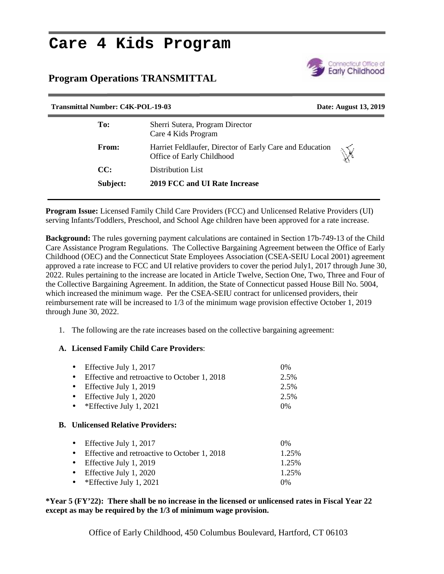## **Care 4 Kids Program**

## **Program Operations TRANSMITTAL**



| <b>Transmittal Number: C4K-POL-19-03</b> |              |                                                                                       | Date: August 13, 2019 |
|------------------------------------------|--------------|---------------------------------------------------------------------------------------|-----------------------|
| To:                                      |              | Sherri Sutera, Program Director<br>Care 4 Kids Program                                |                       |
|                                          | <b>From:</b> | Harriet Feldlaufer, Director of Early Care and Education<br>Office of Early Childhood | $\mathbb{X}$          |
| CC:                                      |              | Distribution List                                                                     |                       |
|                                          | Subject:     | 2019 FCC and UI Rate Increase                                                         |                       |
|                                          |              |                                                                                       |                       |

**Program Issue:** Licensed Family Child Care Providers (FCC) and Unlicensed Relative Providers (UI) serving Infants/Toddlers, Preschool, and School Age children have been approved for a rate increase.

**Background:** The rules governing payment calculations are contained in Section 17b-749-13 of the Child Care Assistance Program Regulations. The Collective Bargaining Agreement between the Office of Early Childhood (OEC) and the Connecticut State Employees Association (CSEA-SEIU Local 2001) agreement approved a rate increase to FCC and UI relative providers to cover the period July1, 2017 through June 30, 2022. Rules pertaining to the increase are located in Article Twelve, Section One, Two, Three and Four of the Collective Bargaining Agreement. In addition, the State of Connecticut passed House Bill No. 5004, which increased the minimum wage. Per the CSEA-SEIU contract for unlicensed providers, their reimbursement rate will be increased to 1/3 of the minimum wage provision effective October 1, 2019 through June 30, 2022.

1. The following are the rate increases based on the collective bargaining agreement:

## **A. Licensed Family Child Care Providers**:

| • Effective July 1, 2017                       | $0\%$ |  |
|------------------------------------------------|-------|--|
| • Effective and retroactive to October 1, 2018 | 2.5%  |  |
| • Effective July 1, 2019                       | 2.5%  |  |
| • Effective July 1, 2020                       | 2.5%  |  |
| • * Effective July 1, 2021                     | $0\%$ |  |
|                                                |       |  |

## **B. Unlicensed Relative Providers:**

| • Effective July 1, 2017                       | $0\%$ |
|------------------------------------------------|-------|
| • Effective and retroactive to October 1, 2018 | 1.25% |
| • Effective July 1, 2019                       | 1.25% |
| • Effective July 1, 2020                       | 1.25% |
| • * Effective July 1, 2021                     | $0\%$ |

**\*Year 5 (FY'22): There shall be no increase in the licensed or unlicensed rates in Fiscal Year 22 except as may be required by the 1/3 of minimum wage provision.**

Office of Early Childhood, 450 Columbus Boulevard, Hartford, CT 06103